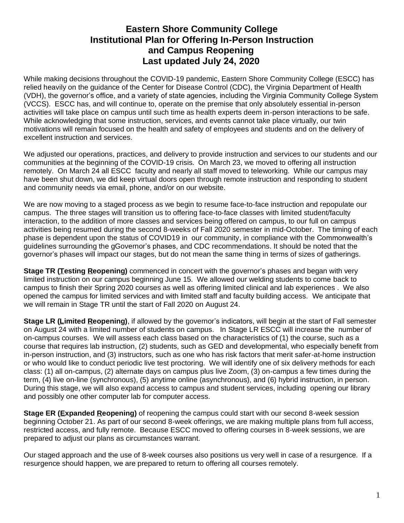# **Eastern Shore Community College Institutional Plan for Offering In-Person Instruction and Campus Reopening Last updated July 24, 2020**

While making decisions throughout the COVID-19 pandemic, Eastern Shore Community College (ESCC) has relied heavily on the guidance of the Center for Disease Control (CDC), the Virginia Department of Health (VDH), the governor's office, and a variety of state agencies, including the Virginia Community College System (VCCS). ESCC has, and will continue to, operate on the premise that only absolutely essential in-person activities will take place on campus until such time as health experts deem in-person interactions to be safe. While acknowledging that some instruction, services, and events cannot take place virtually, our twin motivations will remain focused on the health and safety of employees and students and on the delivery of excellent instruction and services.

We adjusted our operations, practices, and delivery to provide instruction and services to our students and our communities at the beginning of the COVID-19 crisis. On March 23, we moved to offering all instruction remotely. On March 24 all ESCC faculty and nearly all staff moved to teleworking. While our campus may have been shut down, we did keep virtual doors open through remote instruction and responding to student and community needs via email, phone, and/or on our website.

We are now moving to a staged process as we begin to resume face-to-face instruction and repopulate our campus. The three stages will transition us to offering face-to-face classes with limited student/faculty interaction, to the addition of more classes and services being offered on campus, to our full on campus activities being resumed during the second 8-weeks of Fall 2020 semester in mid-October. The timing of each phase is dependent upon the status of COVID19 in our community, in compliance with the Commonwealth's guidelines surrounding the gGovernor's phases, and CDC recommendations. It should be noted that the governor's phases will impact our stages, but do not mean the same thing in terms of sizes of gatherings.

**Stage TR (Testing Reopening)** commenced in concert with the governor's phases and began with very limited instruction on our campus beginning June 15. We allowed our welding students to come back to campus to finish their Spring 2020 courses as well as offering limited clinical and lab experiences . We also opened the campus for limited services and with limited staff and faculty building access. We anticipate that we will remain in Stage TR until the start of Fall 2020 on August 24.

**Stage LR (Limited Reopening)**, if allowed by the governor's indicators, will begin at the start of Fall semester on August 24 with a limited number of students on campus. In Stage LR ESCC will increase the number of on-campus courses. We will assess each class based on the characteristics of (1) the course, such as a course that requires lab instruction, (2) students, such as GED and developmental, who especially benefit from in-person instruction, and (3) instructors, such as one who has risk factors that merit safer-at-home instruction or who would like to conduct periodic live test proctoring. We will identify one of six delivery methods for each class: (1) all on-campus, (2) alternate days on campus plus live Zoom, (3) on-campus a few times during the term, (4) live on-line (synchronous), (5) anytime online (asynchronous), and (6) hybrid instruction, in person. During this stage, we will also expand access to campus and student services, including opening our library and possibly one other computer lab for computer access.

**Stage ER (Expanded Reopening)** of reopening the campus could start with our second 8-week session beginning October 21. As part of our second 8-week offerings, we are making multiple plans from full access, restricted access, and fully remote. Because ESCC moved to offering courses in 8-week sessions, we are prepared to adjust our plans as circumstances warrant.

Our staged approach and the use of 8-week courses also positions us very well in case of a resurgence. If a resurgence should happen, we are prepared to return to offering all courses remotely.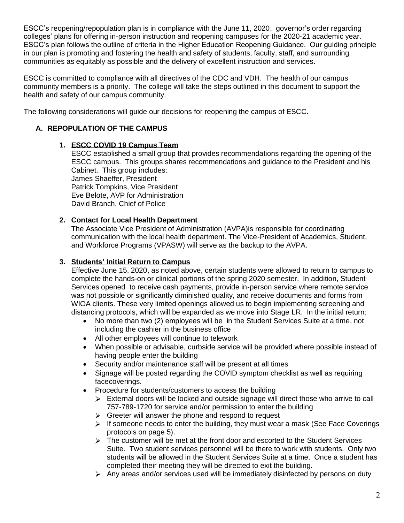ESCC's reopening/repopulation plan is in compliance with the June 11, 2020, governor's order regarding colleges' plans for offering in-person instruction and reopening campuses for the 2020-21 academic year. ESCC's plan follows the outline of criteria in the Higher Education Reopening Guidance. Our guiding principle in our plan is promoting and fostering the health and safety of students, faculty, staff, and surrounding communities as equitably as possible and the delivery of excellent instruction and services.

ESCC is committed to compliance with all directives of the CDC and VDH. The health of our campus community members is a priority. The college will take the steps outlined in this document to support the health and safety of our campus community.

The following considerations will guide our decisions for reopening the campus of ESCC.

### **A. REPOPULATION OF THE CAMPUS**

### **1. ESCC COVID 19 Campus Team**

ESCC established a small group that provides recommendations regarding the opening of the ESCC campus. This groups shares recommendations and guidance to the President and his Cabinet. This group includes: James Shaeffer, President Patrick Tompkins, Vice President Eve Belote, AVP for Administration David Branch, Chief of Police

### **2. Contact for Local Health Department**

The Associate Vice President of Administration (AVPA)is responsible for coordinating communication with the local health department. The Vice-President of Academics, Student, and Workforce Programs (VPASW) will serve as the backup to the AVPA.

### **3. Students' Initial Return to Campus**

Effective June 15, 2020, as noted above, certain students were allowed to return to campus to complete the hands-on or clinical portions of the spring 2020 semester. In addition, Student Services opened to receive cash payments, provide in-person service where remote service was not possible or significantly diminished quality, and receive documents and forms from WIOA clients. These very limited openings allowed us to begin implementing screening and distancing protocols, which will be expanded as we move into Stage LR. In the initial return:

- No more than two (2) employees will be in the Student Services Suite at a time, not including the cashier in the business office
- All other employees will continue to telework
- When possible or advisable, curbside service will be provided where possible instead of having people enter the building
- Security and/or maintenance staff will be present at all times
- Signage will be posted regarding the COVID symptom checklist as well as requiring facecoverings.
- Procedure for students/customers to access the building
	- $\triangleright$  External doors will be locked and outside signage will direct those who arrive to call 757-789-1720 for service and/or permission to enter the building
	- $\triangleright$  Greeter will answer the phone and respond to request
	- $\triangleright$  If someone needs to enter the building, they must wear a mask (See Face Coverings protocols on page 5).
	- $\triangleright$  The customer will be met at the front door and escorted to the Student Services Suite. Two student services personnel will be there to work with students. Only two students will be allowed in the Student Services Suite at a time. Once a student has completed their meeting they will be directed to exit the building.
	- $\triangleright$  Any areas and/or services used will be immediately disinfected by persons on duty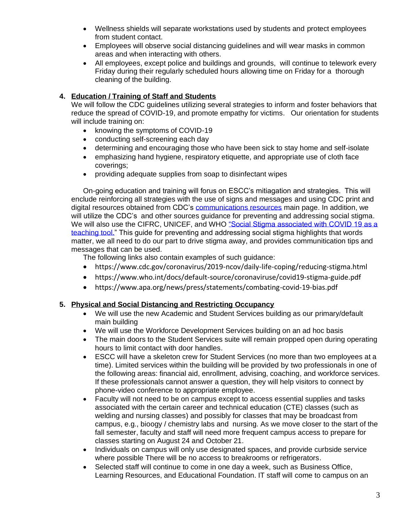- Wellness shields will separate workstations used by students and protect employees from student contact.
- Employees will observe social distancing guidelines and will wear masks in common areas and when interacting with others.
- All employees, except police and buildings and grounds, will continue to telework every Friday during their regularly scheduled hours allowing time on Friday for a thorough cleaning of the building.

### **4. Education / Training of Staff and Students**

We will follow the CDC guidelines utilizing several strategies to inform and foster behaviors that reduce the spread of COVID-19, and promote empathy for victims. Our orientation for students will include training on:

- knowing the symptoms of COVID-19
- conducting self-screening each day
- determining and encouraging those who have been sick to stay home and self-isolate
- emphasizing hand hygiene, respiratory etiquette, and appropriate use of cloth face coverings;
- providing adequate supplies from soap to disinfectant wipes

On-going education and training will forus on ESCC's mitiagation and strategies. This will enclude reinforcing all strategies with the use of signs and messages and using CDC print and digital resources obtained from CDC's [communications resources](https://www.cdc.gov/coronavirus/2019-ncov/communication/index.html) main page. In addition, we will utilize the CDC's and other sources guidance for preventing and addressing social stigma. We will also use the CIFRC, UNICEF, and WHO "Social Stigma associated with COVID 19 as a [teaching tool."](https://www.who.int/docs/default-source/coronaviruse/covid19-stigma-guide.pdf?sfvrsn=226180f4_2) This guide for preventing and addressing social stigma highlights that words matter, we all need to do our part to drive stigma away, and provides communitication tips and messages that can be used.

The following links also contain examples of such guidance:

- https://www.cdc.gov/coronavirus/2019-ncov/daily-life-coping/reducing-stigma.html
- https://www.who.int/docs/default-source/coronaviruse/covid19-stigma-guide.pdf
- https://www.apa.org/news/press/statements/combating-covid-19-bias.pdf

### **5. Physical and Social Distancing and Restricting Occupancy**

- We will use the new Academic and Student Services building as our primary/default main building
- We will use the Workforce Development Services building on an ad hoc basis
- The main doors to the Student Services suite will remain propped open during operating hours to limit contact with door handles.
- ESCC will have a skeleton crew for Student Services (no more than two employees at a time). Limited services within the building will be provided by two professionals in one of the following areas: financial aid, enrollment, advising, coaching, and workforce services. If these professionals cannot answer a question, they will help visitors to connect by phone-video conference to appropriate employee.
- Faculty will not need to be on campus except to access essential supplies and tasks associated with the certain career and technical education (CTE) classes (such as welding and nursing classes) and possibly for classes that may be broadcast from campus, e.g., bioogy / chemistry labs and nursing. As we move closer to the start of the fall semester, faculty and staff will need more frequent campus access to prepare for classes starting on August 24 and October 21.
- Individuals on campus will only use designated spaces, and provide curbside service where possible There will be no access to breakrooms or refrigerators.
- Selected staff will continue to come in one day a week, such as Business Office, Learning Resources, and Educational Foundation. IT staff will come to campus on an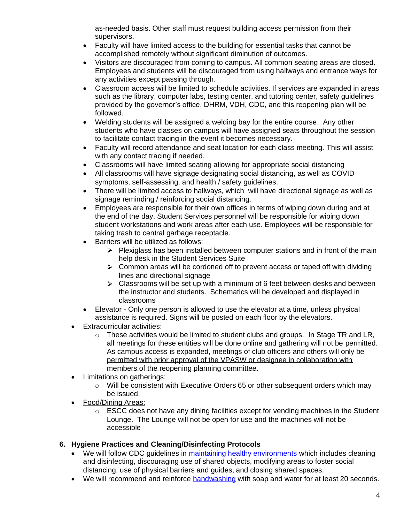as-needed basis. Other staff must request building access permission from their supervisors.

- Faculty will have limited access to the building for essential tasks that cannot be accomplished remotely without significant diminution of outcomes.
- Visitors are discouraged from coming to campus. All common seating areas are closed. Employees and students will be discouraged from using hallways and entrance ways for any activities except passing through.
- Classroom access will be limited to schedule activities. If services are expanded in areas such as the library, computer labs, testing center, and tutoring center, safety guidelines provided by the governor's office, DHRM, VDH, CDC, and this reopening plan will be followed.
- Welding students will be assigned a welding bay for the entire course. Any other students who have classes on campus will have assigned seats throughout the session to facilitate contact tracing in the event it becomes necessary.
- Faculty will record attendance and seat location for each class meeting. This will assist with any contact tracing if needed.
- Classrooms will have limited seating allowing for appropriate social distancing
- All classrooms will have signage designating social distancing, as well as COVID symptoms, self-assessing, and health / safety guidelines.
- There will be limited access to hallways, which will have directional signage as well as signage reminding / reinforcing social distancing.
- Employees are responsible for their own offices in terms of wiping down during and at the end of the day. Student Services personnel will be responsible for wiping down student workstations and work areas after each use. Employees will be responsible for taking trash to central garbage receptacle.
- Barriers will be utilized as follows:
	- $\triangleright$  Plexiglass has been installed between computer stations and in front of the main help desk in the Student Services Suite
	- $\triangleright$  Common areas will be cordoned off to prevent access or taped off with dividing lines and directional signage
	- $\triangleright$  Classrooms will be set up with a minimum of 6 feet between desks and between the instructor and students. Schematics will be developed and displayed in classrooms
- Elevator Only one person is allowed to use the elevator at a time, unless physical assistance is required. Signs will be posted on each floor by the elevators.
- **Extracurricular activities:** 
	- $\circ$  These activities would be limited to student clubs and groups. In Stage TR and LR, all meetings for these entities will be done online and gathering will not be permitted. As campus access is expanded, meetings of club officers and others will only be permitted with prior approval of the VPASW or designee in collaboration with members of the reopening planning committee.
- Limitations on gatherings:
	- o Will be consistent with Executive Orders 65 or other subsequent orders which may be issued.
- Food/Dining Areas:
	- o ESCC does not have any dining facilities except for vending machines in the Student Lounge. The Lounge will not be open for use and the machines will not be accessible

## **6. Hygiene Practices and Cleaning/Disinfecting Protocols**

- We will follow CDC quidelines in [maintaining healthy environments w](https://www.cdc.gov/coronavirus/2019-ncov/community/colleges-universities/considerations.html)hich includes cleaning and disinfecting, discouraging use of shared objects, modifying areas to foster social distancing, use of physical barriers and guides, and closing shared spaces.
- We will recommend and reinforce [handwashing](https://www.cdc.gov/handwashing/when-how-handwashing.html) with soap and water for at least 20 seconds.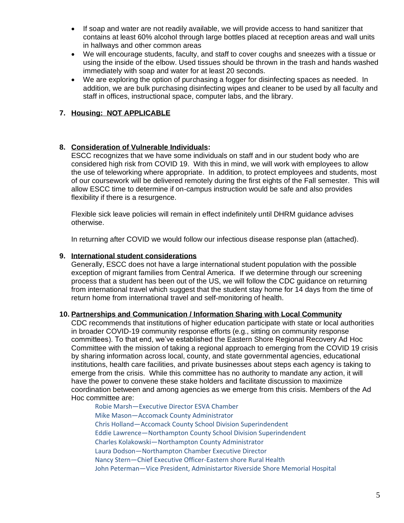- If soap and water are not readily available, we will provide access to hand sanitizer that contains at least 60% alcohol through large bottles placed at reception areas and wall units in hallways and other common areas
- We will encourage students, faculty, and staff to cover coughs and sneezes with a tissue or using the inside of the elbow. Used tissues should be thrown in the trash and hands washed immediately with soap and water for at least 20 seconds.
- We are exploring the option of purchasing a fogger for disinfecting spaces as needed. In addition, we are bulk purchasing disinfecting wipes and cleaner to be used by all faculty and staff in offices, instructional space, computer labs, and the library.

#### **7. Housing: NOT APPLICABLE**

#### **8. Consideration of Vulnerable Individuals:**

ESCC recognizes that we have some individuals on staff and in our student body who are considered high risk from COVID 19. With this in mind, we will work with employees to allow the use of teleworking where appropriate. In addition, to protect employees and students, most of our coursework will be delivered remotely during the first eights of the Fall semester. This will allow ESCC time to determine if on-campus instruction would be safe and also provides flexibility if there is a resurgence.

Flexible sick leave policies will remain in effect indefinitely until DHRM guidance advises otherwise.

In returning after COVID we would follow our infectious disease response plan (attached).

#### **9. International student considerations**

Generally, ESCC does not have a large international student population with the possible exception of migrant families from Central America. If we determine through our screening process that a student has been out of the US, we will follow the CDC guidance on returning from international travel which suggest that the student stay home for 14 days from the time of return home from international travel and self-monitoring of health.

#### **10. Partnerships and Communication / Information Sharing with Local Community**

CDC recommends that institutions of higher education participate with state or local authorities in broader COVID-19 community response efforts (e.g., sitting on community response committees). To that end, we've established the Eastern Shore Regional Recovery Ad Hoc Committee with the mission of taking a regional approach to emerging from the COVID 19 crisis by sharing information across local, county, and state governmental agencies, educational institutions, health care facilities, and private businesses about steps each agency is taking to emerge from the crisis. While this committee has no authority to mandate any action, it will have the power to convene these stake holders and facilitate discussion to maximize coordination between and among agencies as we emerge from this crisis. Members of the Ad Hoc committee are:

Robie Marsh—Executive Director ESVA Chamber Mike Mason—Accomack County Administrator Chris Holland—Accomack County School Division Superindendent Eddie Lawrence—Northampton County School Division Superindendent Charles Kolakowski—Northampton County Administrator Laura Dodson—Northampton Chamber Executive Director Nancy Stern—Chief Executive Officer-Eastern shore Rural Health John Peterman—Vice President, Administartor Riverside Shore Memorial Hospital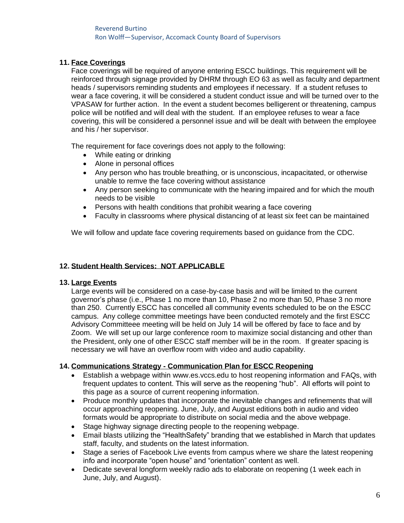#### **11. Face Coverings**

Face coverings will be required of anyone entering ESCC buildings. This requirement will be reinforced through signage provided by DHRM through EO 63 as well as faculty and department heads / supervisors reminding students and employees if necessary. If a student refuses to wear a face covering, it will be considered a student conduct issue and will be turned over to the VPASAW for further action. In the event a student becomes belligerent or threatening, campus police will be notified and will deal with the student. If an employee refuses to wear a face covering, this will be considered a personnel issue and will be dealt with between the employee and his / her supervisor.

The requirement for face coverings does not apply to the following:

- While eating or drinking
- Alone in personal offices
- Any person who has trouble breathing, or is unconscious, incapacitated, or otherwise unable to remve the face covering without assistance
- Any person seeking to communicate with the hearing impaired and for which the mouth needs to be visible
- Persons with health conditions that prohibit wearing a face covering
- Faculty in classrooms where physical distancing of at least six feet can be maintained

We will follow and update face covering requirements based on guidance from the CDC.

#### **12. Student Health Services: NOT APPLICABLE**

#### **13. Large Events**

Large events will be considered on a case-by-case basis and will be limited to the current governor's phase (i.e., Phase 1 no more than 10, Phase 2 no more than 50, Phase 3 no more than 250. Currently ESCC has concelled all community events scheduled to be on the ESCC campus. Any college committee meetings have been conducted remotely and the first ESCC Advisory Committeee meeting will be held on July 14 will be offered by face to face and by Zoom. We will set up our large conference room to maximize social distancing and other than the President, only one of other ESCC staff member will be in the room. If greater spacing is necessary we will have an overflow room with video and audio capability.

#### **14. Communications Strategy - Communication Plan for ESCC Reopening**

- Establish a webpage within www.es.vccs.edu to host reopening information and FAQs, with frequent updates to content. This will serve as the reopening "hub". All efforts will point to this page as a source of current reopening information.
- Produce monthly updates that incorporate the inevitable changes and refinements that will occur approaching reopening. June, July, and August editions both in audio and video formats would be appropriate to distribute on social media and the above webpage.
- Stage highway signage directing people to the reopening webpage.
- Email blasts utilizing the "HealthSafety" branding that we established in March that updates staff, faculty, and students on the latest information.
- Stage a series of Facebook Live events from campus where we share the latest reopening info and incorporate "open house" and "orientation" content as well.
- Dedicate several longform weekly radio ads to elaborate on reopening (1 week each in June, July, and August).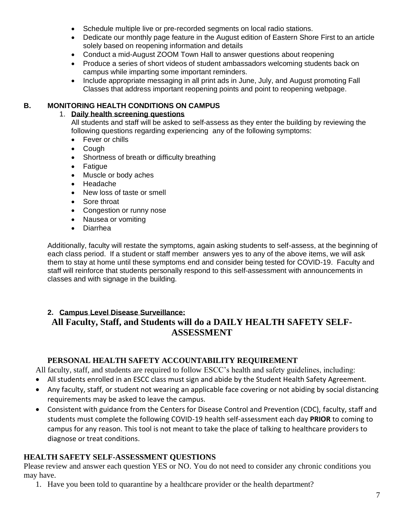- Schedule multiple live or pre-recorded segments on local radio stations.
- Dedicate our monthly page feature in the August edition of Eastern Shore First to an article solely based on reopening information and details
- Conduct a mid-August ZOOM Town Hall to answer questions about reopening
- Produce a series of short videos of student ambassadors welcoming students back on campus while imparting some important reminders.
- Include appropriate messaging in all print ads in June, July, and August promoting Fall Classes that address important reopening points and point to reopening webpage.

### **B. MONITORING HEALTH CONDITIONS ON CAMPUS**

#### 1. **Daily health screening questions**

All students and staff will be asked to self-assess as they enter the building by reviewing the following questions regarding experiencing any of the following symptoms:

- Fever or chills
- Cough
- Shortness of breath or difficulty breathing
- Fatigue
- Muscle or body aches
- Headache
- New loss of taste or smell
- Sore throat
- Congestion or runny nose
- Nausea or vomiting
- Diarrhea

Additionally, faculty will restate the symptoms, again asking students to self-assess, at the beginning of each class period. If a student or staff member answers yes to any of the above items, we will ask them to stay at home until these symptoms end and consider being tested for COVID-19. Faculty and staff will reinforce that students personally respond to this self-assessment with announcements in classes and with signage in the building.

# **2. Campus Level Disease Surveillance:**

# **All Faculty, Staff, and Students will do a DAILY HEALTH SAFETY SELF-ASSESSMENT**

## **PERSONAL HEALTH SAFETY ACCOUNTABILITY REQUIREMENT**

All faculty, staff, and students are required to follow ESCC's health and safety guidelines, including:

- All students enrolled in an ESCC class must sign and abide by the Student Health Safety Agreement.
- Any faculty, staff, or student not wearing an applicable face covering or not abiding by social distancing requirements may be asked to leave the campus.
- Consistent with guidance from the Centers for Disease Control and Prevention (CDC), faculty, staff and students must complete the following COVID-19 health self-assessment each day **PRIOR** to coming to campus for any reason. This tool is not meant to take the place of talking to healthcare providers to diagnose or treat conditions.

# **HEALTH SAFETY SELF-ASSESSMENT QUESTIONS**

Please review and answer each question YES or NO. You do not need to consider any chronic conditions you may have.

1. Have you been told to quarantine by a healthcare provider or the health department?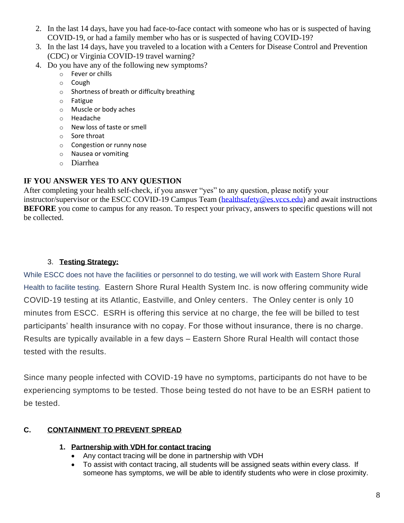- 2. In the last 14 days, have you had face-to-face contact with someone who has or is suspected of having COVID-19, or had a family member who has or is suspected of having COVID-19?
- 3. In the last 14 days, have you traveled to a location with a Centers for Disease Control and Prevention (CDC) or Virginia COVID-19 travel warning?
- 4. Do you have any of the following new symptoms?
	- o Fever or chills
	- o Cough
	- o Shortness of breath or difficulty breathing
	- o Fatigue
	- o Muscle or body aches
	- o Headache
	- o New loss of taste or smell
	- o Sore throat
	- o Congestion or runny nose
	- o Nausea or vomiting
	- o Diarrhea

## **IF YOU ANSWER YES TO ANY QUESTION**

After completing your health self-check, if you answer "yes" to any question, please notify your instructor/supervisor or the ESCC COVID-19 Campus Team [\(healthsafety@es.vccs.edu\)](mailto:healthsafety@es.vccs.edu) and await instructions **BEFORE** you come to campus for any reason. To respect your privacy, answers to specific questions will not be collected.

# 3. **Testing Strategy:**

While ESCC does not have the facilities or personnel to do testing, we will work with Eastern Shore Rural Health to facilite testing. Eastern Shore Rural Health System Inc. is now offering community wide COVID-19 testing at its Atlantic, Eastville, and Onley centers. The Onley center is only 10 minutes from ESCC. ESRH is offering this service at no charge, the fee will be billed to test participants' health insurance with no copay. For those without insurance, there is no charge. Results are typically available in a few days – Eastern Shore Rural Health will contact those tested with the results.

Since many people infected with COVID-19 have no symptoms, participants do not have to be experiencing symptoms to be tested. Those being tested do not have to be an ESRH patient to be tested.

# **C. CONTAINMENT TO PREVENT SPREAD**

## **1. Partnership with VDH for contact tracing**

- Any contact tracing will be done in partnership with VDH
- To assist with contact tracing, all students will be assigned seats within every class. If someone has symptoms, we will be able to identify students who were in close proximity.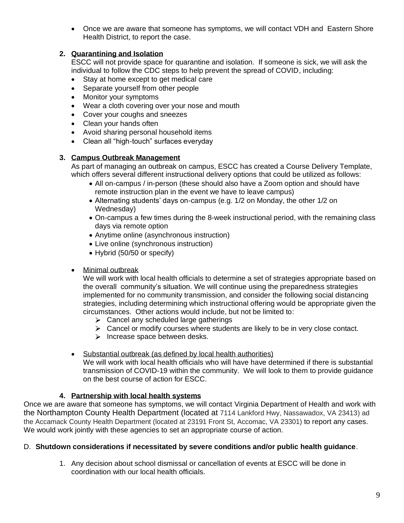• Once we are aware that someone has symptoms, we will contact VDH and Eastern Shore Health District, to report the case.

### **2. Quarantining and Isolation**

ESCC will not provide space for quarantine and isolation. If someone is sick, we will ask the individual to follow the CDC steps to help prevent the spread of COVID, including:

- Stay at home except to get medical care
- Separate yourself from other people
- Monitor your symptoms
- Wear a cloth covering over your nose and mouth
- Cover your coughs and sneezes
- Clean your hands often
- Avoid sharing personal household items
- Clean all "high-touch" surfaces everyday

#### **3. Campus Outbreak Management**

As part of managing an outbreak on campus, ESCC has created a Course Delivery Template, which offers several different instructional delivery options that could be utilized as follows:

- All on-campus / in-person (these should also have a Zoom option and should have remote instruction plan in the event we have to leave campus)
- Alternating students' days on-campus (e.g. 1/2 on Monday, the other 1/2 on Wednesday)
- On-campus a few times during the 8-week instructional period, with the remaining class days via remote option
- Anytime online (asynchronous instruction)
- Live online (synchronous instruction)
- Hybrid (50/50 or specify)

### • Minimal outbreak

We will work with local health officials to determine a set of strategies appropriate based on the overall community's situation. We will continue using the preparedness strategies implemented for no community transmission, and consider the following social distancing strategies, including determining which instructional offering would be appropriate given the circumstances. Other actions would include, but not be limited to:

- $\triangleright$  Cancel any scheduled large gatherings
- $\triangleright$  Cancel or modify courses where students are likely to be in very close contact.
- $\triangleright$  Increase space between desks.
- Substantial outbreak (as defined by local health authorities)

We will work with local health officials who will have have determined if there is substantial transmission of COVID-19 within the community. We will look to them to provide guidance on the best course of action for ESCC.

### **4. Partnership with local health systems**

Once we are aware that someone has symptoms, we will contact Virginia Department of Health and work with the Northampton County Health Department (located at 7114 Lankford Hwy, Nassawadox, VA 23413) ad the Accamack County Health Department (located at 23191 Front St, Accomac, VA 23301) to report any cases. We would work jointly with these agencies to set an appropriate course of action.

#### D. **Shutdown considerations if necessitated by severe conditions and/or public health guidance**.

1. Any decision about school dismissal or cancellation of events at ESCC will be done in coordination with our local health officials.